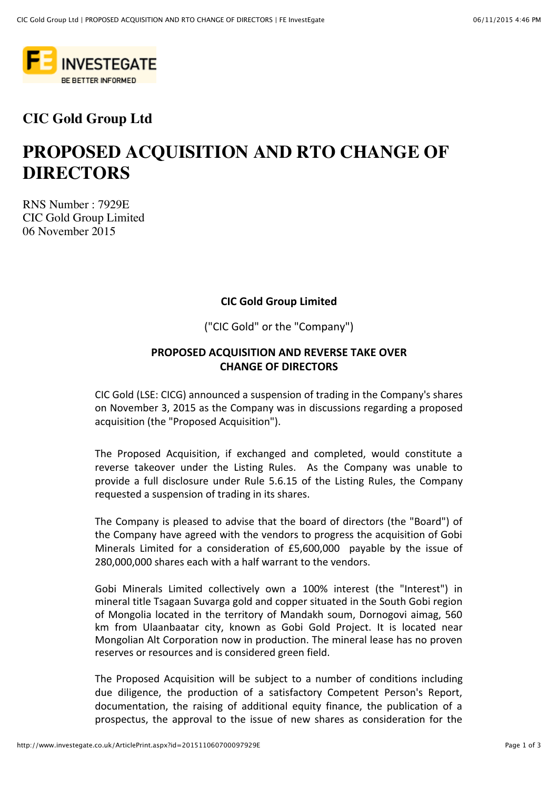

## **CIC Gold Group Ltd**

# **PROPOSED ACQUISITION AND RTO CHANGE OF DIRECTORS**

RNS Number : 7929E CIC Gold Group Limited 06 November 2015

#### **CIC Gold Group Limited**

("CIC Gold" or the "Company")

#### **PROPOSED ACQUISITION AND REVERSE TAKE OVER CHANGE OF DIRECTORS**

CIC Gold (LSE: CICG) announced a suspension of trading in the Company's shares on November 3, 2015 as the Company was in discussions regarding a proposed acquisition (the "Proposed Acquisition").

The Proposed Acquisition, if exchanged and completed, would constitute a reverse takeover under the Listing Rules. As the Company was unable to provide a full disclosure under Rule 5.6.15 of the Listing Rules, the Company requested a suspension of trading in its shares.

The Company is pleased to advise that the board of directors (the "Board") of the Company have agreed with the vendors to progress the acquisition of Gobi Minerals Limited for a consideration of £5,600,000 payable by the issue of 280,000,000 shares each with a half warrant to the vendors.

Gobi Minerals Limited collectively own a 100% interest (the "Interest") in mineral title Tsagaan Suvarga gold and copper situated in the South Gobi region of Mongolia located in the territory of Mandakh soum, Dornogovi aimag, 560 km from Ulaanbaatar city, known as Gobi Gold Project. It is located near Mongolian Alt Corporation now in production. The mineral lease has no proven reserves or resources and is considered green field.

The Proposed Acquisition will be subject to a number of conditions including due diligence, the production of a satisfactory Competent Person's Report, documentation, the raising of additional equity finance, the publication of a prospectus, the approval to the issue of new shares as consideration for the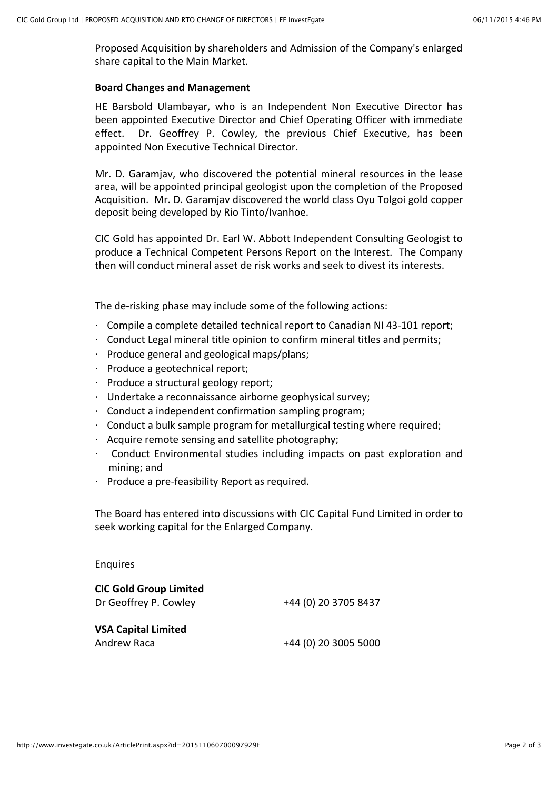Proposed Acquisition by shareholders and Admission of the Company's enlarged share capital to the Main Market.

#### **Board Changes and Management**

HE Barsbold Ulambayar, who is an Independent Non Executive Director has been appointed Executive Director and Chief Operating Officer with immediate effect. Dr. Geoffrey P. Cowley, the previous Chief Executive, has been appointed Non Executive Technical Director.

Mr. D. Garamjav, who discovered the potential mineral resources in the lease area, will be appointed principal geologist upon the completion of the Proposed Acquisition. Mr. D. Garamjav discovered the world class Oyu Tolgoi gold copper deposit being developed by Rio Tinto/Ivanhoe.

CIC Gold has appointed Dr. Earl W. Abbott Independent Consulting Geologist to produce a Technical Competent Persons Report on the Interest. The Company then will conduct mineral asset de risk works and seek to divest its interests.

The de-risking phase may include some of the following actions:

- Compile a complete detailed technical report to Canadian NI 43-101 report;
- $\cdot$  Conduct Legal mineral title opinion to confirm mineral titles and permits;
- $\cdot$  Produce general and geological maps/plans;
- · Produce a geotechnical report;
- $\cdot$  Produce a structural geology report;
- Undertake a reconnaissance airborne geophysical survey;
- $\cdot$  Conduct a independent confirmation sampling program;
- $\cdot$  Conduct a bulk sample program for metallurgical testing where required;
- $\cdot$  Acquire remote sensing and satellite photography;
- Conduct Environmental studies including impacts on past exploration and mining: and
- $\cdot$  Produce a pre-feasibility Report as required.

The Board has entered into discussions with CIC Capital Fund Limited in order to seek working capital for the Enlarged Company.

Enquires

| <b>CIC Gold Group Limited</b> |                      |
|-------------------------------|----------------------|
| Dr Geoffrey P. Cowley         | +44 (0) 20 3705 8437 |
|                               |                      |
| <b>VSA Capital Limited</b>    |                      |
| Andrew Raca                   | +44 (0) 20 3005 5000 |